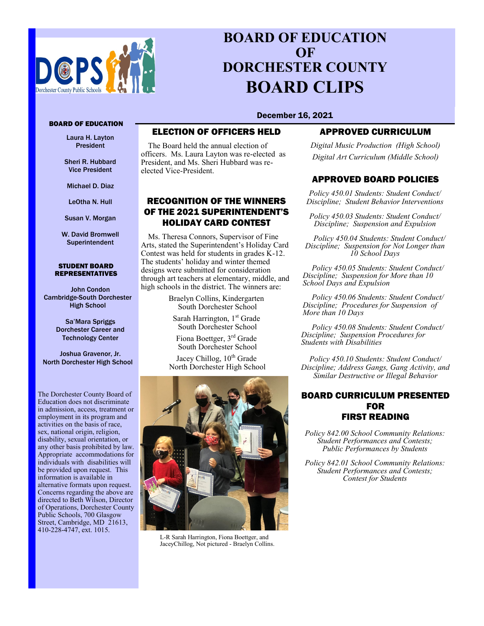

# **BOARD OF EDUCATION OF DORCHESTER COUNTY BOARD CLIPS**

December 16, 2021

#### BOARD OF EDUCATION

Laura H. Layton President

Sheri R. Hubbard Vice President

Michael D. Diaz

LeOtha N. Hull

Susan V. Morgan

W. David Bromwell **Superintendent** 

#### STUDENT BOARD REPRESENTATIVES

John Condon Cambridge-South Dorchester High School

> Sa'Mara Spriggs Dorchester Career and Technology Center

Joshua Gravenor, Jr. North Dorchester High School

The Dorchester County Board of Education does not discriminate in admission, access, treatment or employment in its program and activities on the basis of race, sex, national origin, religion, disability, sexual orientation, or any other basis prohibited by law. Appropriate accommodations for individuals with disabilities will be provided upon request. This information is available in alternative formats upon request. Concerns regarding the above are directed to Beth Wilson, Director of Operations, Dorchester County Public Schools, 700 Glasgow Street, Cambridge, MD 21613, 410-228-4747, ext. 1015.

# RECOGNITION OF THE WINNERS OF THE 2021 SUPERINTENDENT'S HOLIDAY CARD CONTEST

ELECTION OF OFFICERS HELD

The Board held the annual election of officers. Ms. Laura Layton was re-elected as President, and Ms. Sheri Hubbard was re-

elected Vice-President.

Ms. Theresa Connors, Supervisor of Fine Arts, stated the Superintendent's Holiday Card Contest was held for students in grades K-12. The students' holiday and winter themed designs were submitted for consideration through art teachers at elementary, middle, and high schools in the district. The winners are:

> Braelyn Collins, Kindergarten South Dorchester School

Sarah Harrington,  $1<sup>st</sup>$  Grade South Dorchester School

Fiona Boettger, 3rd Grade South Dorchester School

Jacey Chillog,  $10^{th}$  Grade North Dorchester High School



L-R Sarah Harrington, Fiona Boettger, and JaceyChillog, Not pictured - Braelyn Collins.

## APPROVED CURRICULUM

*Digital Music Production (High School) Digital Art Curriculum (Middle School)*

## APPROVED BOARD POLICIES

*Policy 450.01 Students: Student Conduct/ Discipline; Student Behavior Interventions*

*Policy 450.03 Students: Student Conduct/ Discipline; Suspension and Expulsion*

*Policy 450.04 Students: Student Conduct/ Discipline; Suspension for Not Longer than 10 School Days*

*Policy 450.05 Students: Student Conduct/ Discipline; Suspension for More than 10 School Days and Expulsion*

*Policy 450.06 Students: Student Conduct/ Discipline; Procedures for Suspension of More than 10 Days*

*Policy 450.08 Students: Student Conduct/ Discipline; Suspension Procedures for Students with Disabilities*

*Policy 450.10 Students: Student Conduct/ Discipline; Address Gangs, Gang Activity, and Similar Destructive or Illegal Behavior*

## BOARD CURRICULUM PRESENTED FOR FIRST READING

*Policy 842.00 School Community Relations: Student Performances and Contests; Public Performances by Students*

*Policy 842.01 School Community Relations: Student Performances and Contests; Contest for Students*